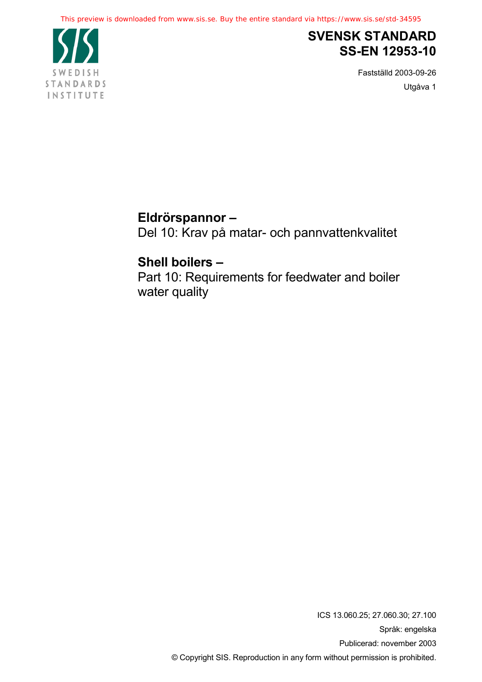

## **SVENSK STANDARD SS-EN 12953-10**

Fastställd 2003-09-26 Utgåva 1

## **Eldrörspannor –**

Del 10: Krav på matar- och pannvattenkvalitet

## **Shell boilers –**

Part 10: Requirements for feedwater and boiler water quality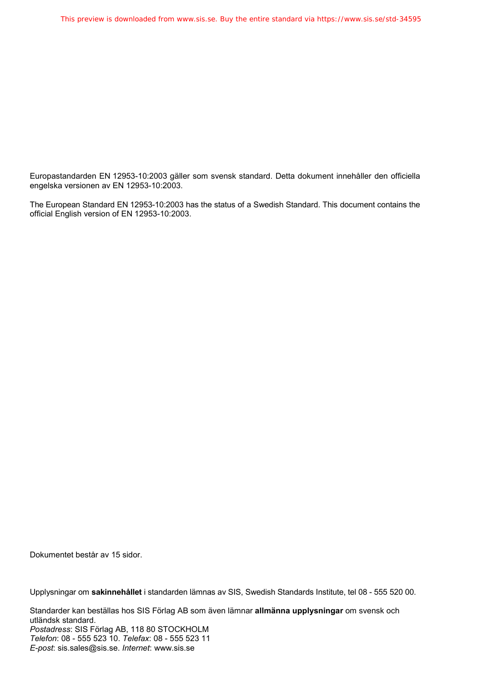Europastandarden EN 12953-10:2003 gäller som svensk standard. Detta dokument innehåller den officiella engelska versionen av EN 12953-10:2003.

The European Standard EN 12953-10:2003 has the status of a Swedish Standard. This document contains the official English version of EN 12953-10:2003.

Dokumentet består av 15 sidor.

Upplysningar om **sakinnehållet** i standarden lämnas av SIS, Swedish Standards Institute, tel 08 - 555 520 00.

Standarder kan beställas hos SIS Förlag AB som även lämnar **allmänna upplysningar** om svensk och utländsk standard. *Postadress*: SIS Förlag AB, 118 80 STOCKHOLM *Telefon*: 08 - 555 523 10. *Telefax*: 08 - 555 523 11 *E-post*: sis.sales@sis.se. *Internet*: www.sis.se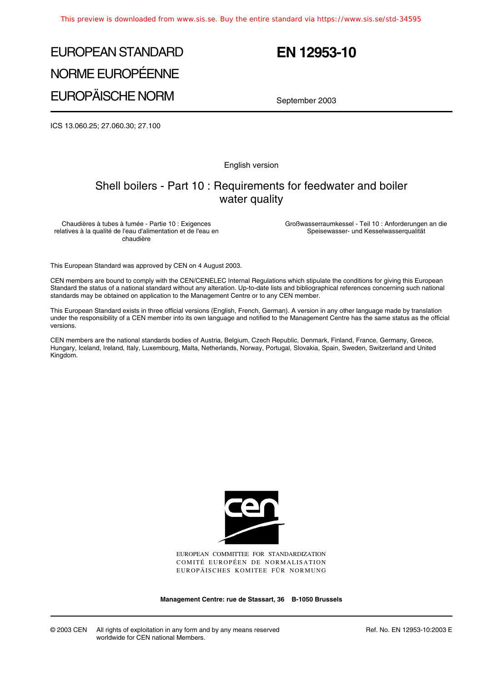# EUROPEAN STANDARD NORME EUROPÉENNE EUROPÄISCHE NORM

## **EN 12953-10**

September 2003

ICS 13.060.25; 27.060.30; 27.100

English version

### Shell boilers - Part 10 : Requirements for feedwater and boiler water quality

Chaudières à tubes à fumée - Partie 10 : Exigences relatives à la qualité de l'eau d'alimentation et de l'eau en chaudière

Großwasserraumkessel - Teil 10 : Anforderungen an die Speisewasser- und Kesselwasserqualität

This European Standard was approved by CEN on 4 August 2003.

CEN members are bound to comply with the CEN/CENELEC Internal Regulations which stipulate the conditions for giving this European Standard the status of a national standard without any alteration. Up-to-date lists and bibliographical references concerning such national standards may be obtained on application to the Management Centre or to any CEN member.

This European Standard exists in three official versions (English, French, German). A version in any other language made by translation under the responsibility of a CEN member into its own language and notified to the Management Centre has the same status as the official versions.

CEN members are the national standards bodies of Austria, Belgium, Czech Republic, Denmark, Finland, France, Germany, Greece, Hungary, Iceland, Ireland, Italy, Luxembourg, Malta, Netherlands, Norway, Portugal, Slovakia, Spain, Sweden, Switzerland and United Kingdom.



EUROPEAN COMMITTEE FOR STANDARDIZATION COMITÉ EUROPÉEN DE NORMALISATION EUROPÄISCHES KOMITEE FÜR NORMUNG

**Management Centre: rue de Stassart, 36 B-1050 Brussels**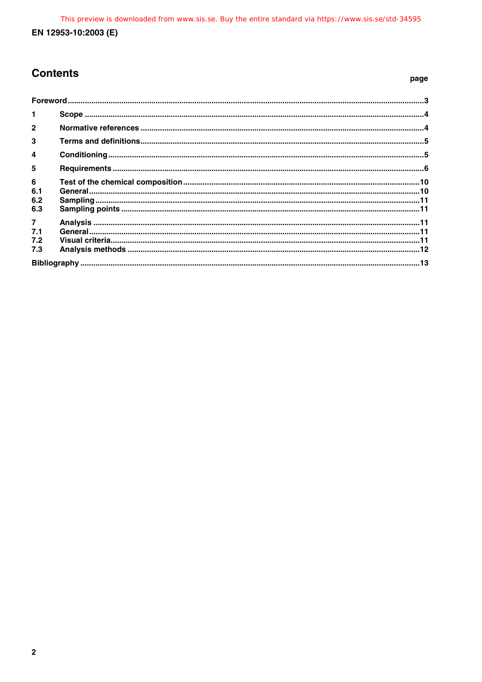### **Contents**

#### page

| $\mathbf{1}$   |  |  |
|----------------|--|--|
| $\overline{2}$ |  |  |
| 3              |  |  |
| $\overline{4}$ |  |  |
| 5              |  |  |
| 6              |  |  |
| 6.1            |  |  |
| 6.2            |  |  |
| 6.3            |  |  |
| $\overline{7}$ |  |  |
| 7.1            |  |  |
| 7.2            |  |  |
| 7.3            |  |  |
|                |  |  |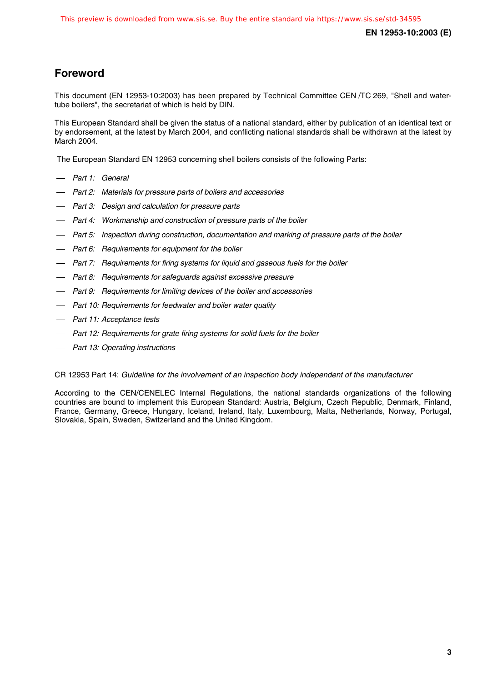### **Foreword**

This document (EN 12953-10:2003) has been prepared by Technical Committee CEN /TC 269, "Shell and watertube boilers", the secretariat of which is held by DIN.

This European Standard shall be given the status of a national standard, either by publication of an identical text or by endorsement, at the latest by March 2004, and conflicting national standards shall be withdrawn at the latest by March 2004.

The European Standard EN 12953 concerning shell boilers consists of the following Parts:

- Part 1: General
- Part 2: Materials for pressure parts of boilers and accessories
- Part 3: Design and calculation for pressure parts
- Part 4: Workmanship and construction of pressure parts of the boiler
- Part 5: Inspection during construction, documentation and marking of pressure parts of the boiler
- $-$  Part 6: Requirements for equipment for the boiler
- Part 7: Requirements for firing systems for liquid and gaseous fuels for the boiler
- Part 8: Requirements for safeguards against excessive pressure
- Part 9: Requirements for limiting devices of the boiler and accessories
- Part 10: Requirements for feedwater and boiler water quality
- Part 11: Acceptance tests
- $-$  Part 12: Requirements for grate firing systems for solid fuels for the boiler
- Part 13: Operating instructions

CR 12953 Part 14: Guideline for the involvement of an inspection body independent of the manufacturer

According to the CEN/CENELEC Internal Regulations, the national standards organizations of the following countries are bound to implement this European Standard: Austria, Belgium, Czech Republic, Denmark, Finland, France, Germany, Greece, Hungary, Iceland, Ireland, Italy, Luxembourg, Malta, Netherlands, Norway, Portugal, Slovakia, Spain, Sweden, Switzerland and the United Kingdom.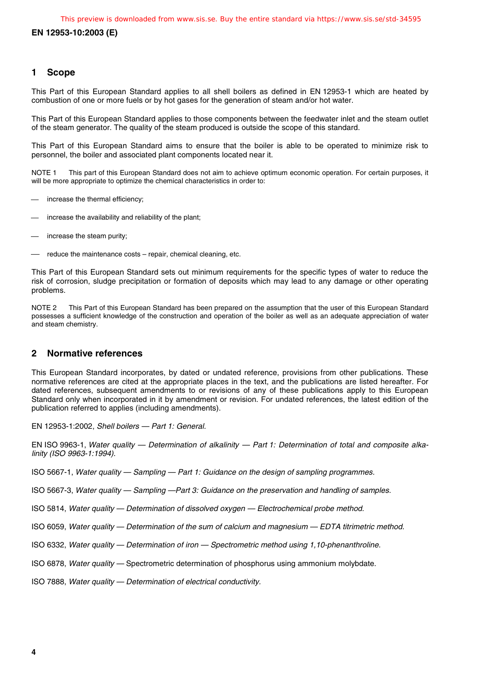**EN 12953-10:2003 (E)**

#### **1 Scope**

This Part of this European Standard applies to all shell boilers as defined in EN 12953-1 which are heated by combustion of one or more fuels or by hot gases for the generation of steam and/or hot water.

This Part of this European Standard applies to those components between the feedwater inlet and the steam outlet of the steam generator. The quality of the steam produced is outside the scope of this standard.

This Part of this European Standard aims to ensure that the boiler is able to be operated to minimize risk to personnel, the boiler and associated plant components located near it.

This part of this European Standard does not aim to achieve optimum economic operation. For certain purposes, it will be more appropriate to optimize the chemical characteristics in order to: NOTE<sub>1</sub>

- increase the thermal efficiency;
- increase the availability and reliability of the plant;  $\overline{\phantom{0}}$
- increase the steam purity;
- reduce the maintenance costs repair, chemical cleaning, etc.

This Part of this European Standard sets out minimum requirements for the specific types of water to reduce the risk of corrosion, sludge precipitation or formation of deposits which may lead to any damage or other operating problems.

NOTE 2 This Part of this European Standard has been prepared on the assumption that the user of this European Standard possesses a sufficient knowledge of the construction and operation of the boiler as well as an adequate appreciation of water and steam chemistry.

#### **2 Normative references**

This European Standard incorporates, by dated or undated reference, provisions from other publications. These normative references are cited at the appropriate places in the text, and the publications are listed hereafter. For dated references, subsequent amendments to or revisions of any of these publications apply to this European Standard only when incorporated in it by amendment or revision. For undated references, the latest edition of the publication referred to applies (including amendments).

EN 12953-1:2002, Shell boilers — Part 1: General.

EN ISO 9963-1, Water quality — Determination of alkalinity — Part 1: Determination of total and composite alkalinity (ISO 9963-1:1994).

ISO 5667-1, Water quality — Sampling — Part 1: Guidance on the design of sampling programmes.

ISO 5667-3, Water quality — Sampling —Part 3: Guidance on the preservation and handling of samples.

ISO 5814, Water quality — Determination of dissolved oxygen — Electrochemical probe method.

ISO 6059, Water quality — Determination of the sum of calcium and magnesium — EDTA titrimetric method.

- ISO 6332, Water quality Determination of iron Spectrometric method using 1,10-phenanthroline.
- ISO 6878, Water quality Spectrometric determination of phosphorus using ammonium molybdate.
- ISO 7888, Water quality Determination of electrical conductivity.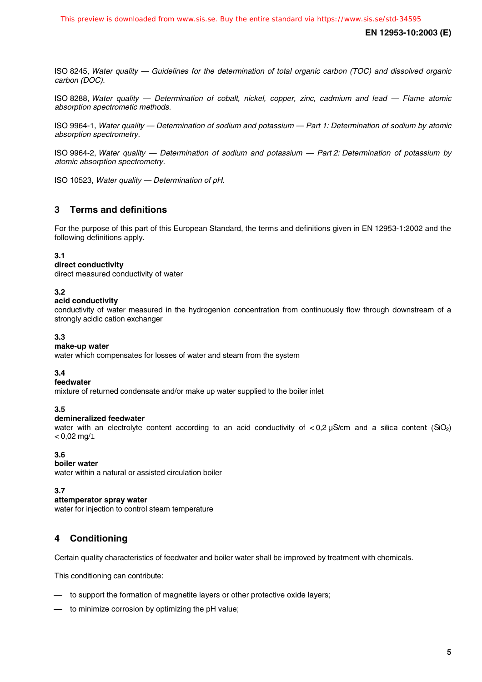ISO 8245, Water quality — Guidelines for the determination of total organic carbon (TOC) and dissolved organic carbon (DOC).

ISO 8288, Water quality — Determination of cobalt, nickel, copper, zinc, cadmium and lead — Flame atomic absorption spectrometic methods.

ISO 9964-1, Water quality — Determination of sodium and potassium — Part 1: Determination of sodium by atomic absorption spectrometry.

ISO 9964-2, Water quality — Determination of sodium and potassium — Part 2: Determination of potassium by atomic absorption spectrometry.

ISO 10523, Water quality — Determination of pH.

#### **3 Terms and definitions**

For the purpose of this part of this European Standard, the terms and definitions given in EN 12953-1:2002 and the following definitions apply.

#### **3.1**

#### **direct conductivity**

direct measured conductivity of water

#### **3.2**

#### **acid conductivity**

conductivity of water measured in the hydrogenion concentration from continuously flow through downstream of a strongly acidic cation exchanger

#### **3.3**

#### **make-up water**

water which compensates for losses of water and steam from the system

#### **3.4**

#### **feedwater**

mixture of returned condensate and/or make up water supplied to the boiler inlet

#### **3.5**

#### **demineralized feedwater**

water with an electrolyte content according to an acid conductivity of  $<$  0,2 µS/cm and a silica content (SiO<sub>2</sub>)  $< 0.02$  mg/1

#### **3.6**

#### **boiler water**

water within a natural or assisted circulation boiler

**3.7**

#### **attemperator spray water**

water for injection to control steam temperature

### **4 Conditioning**

Certain quality characteristics of feedwater and boiler water shall be improved by treatment with chemicals.

This conditioning can contribute:

- $-$  to support the formation of magnetite layers or other protective oxide layers;
- to minimize corrosion by optimizing the pH value;